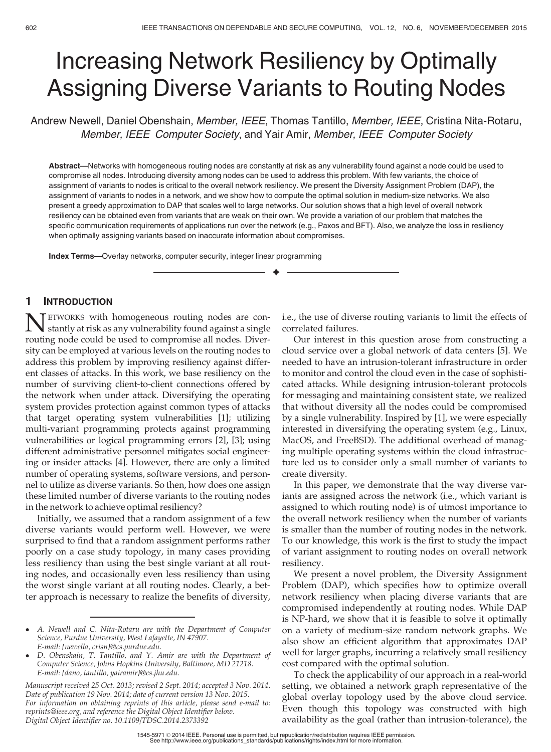# Increasing Network Resiliency by Optimally Assigning Diverse Variants to Routing Nodes

Andrew Newell, Daniel Obenshain, Member, IEEE, Thomas Tantillo, Member, IEEE, Cristina Nita-Rotaru, Member, IEEE Computer Society, and Yair Amir, Member, IEEE Computer Society

Abstract—Networks with homogeneous routing nodes are constantly at risk as any vulnerability found against a node could be used to compromise all nodes. Introducing diversity among nodes can be used to address this problem. With few variants, the choice of assignment of variants to nodes is critical to the overall network resiliency. We present the Diversity Assignment Problem (DAP), the assignment of variants to nodes in a network, and we show how to compute the optimal solution in medium-size networks. We also present a greedy approximation to DAP that scales well to large networks. Our solution shows that a high level of overall network resiliency can be obtained even from variants that are weak on their own. We provide a variation of our problem that matches the specific communication requirements of applications run over the network (e.g., Paxos and BFT). Also, we analyze the loss in resiliency when optimally assigning variants based on inaccurate information about compromises.

 $\bigstar$ 

Index Terms—Overlay networks, computer security, integer linear programming

# 1 INTRODUCTION

**NETWORKS** with homogeneous routing nodes are con-<br>stantly at risk as any vulnerability found against a single<br>may ting no do sould be vend to communica all nodes. Diver routing node could be used to compromise all nodes. Diversity can be employed at various levels on the routing nodes to address this problem by improving resiliency against different classes of attacks. In this work, we base resiliency on the number of surviving client-to-client connections offered by the network when under attack. Diversifying the operating system provides protection against common types of attacks that target operating system vulnerabilities [1]; utilizing multi-variant programming protects against programming vulnerabilities or logical programming errors [2], [3]; using different administrative personnel mitigates social engineering or insider attacks [4]. However, there are only a limited number of operating systems, software versions, and personnel to utilize as diverse variants. So then, how does one assign these limited number of diverse variants to the routing nodes in the network to achieve optimal resiliency?

Initially, we assumed that a random assignment of a few diverse variants would perform well. However, we were surprised to find that a random assignment performs rather poorly on a case study topology, in many cases providing less resiliency than using the best single variant at all routing nodes, and occasionally even less resiliency than using the worst single variant at all routing nodes. Clearly, a better approach is necessary to realize the benefits of diversity,

Manuscript received 25 Oct. 2013; revised 2 Sept. 2014; accepted 3 Nov. 2014. Date of publication 19 Nov. 2014; date of current version 13 Nov. 2015. For information on obtaining reprints of this article, please send e-mail to: reprints@ieee.org, and reference the Digital Object Identifier below. Digital Object Identifier no. 10.1109/TDSC.2014.2373392

i.e., the use of diverse routing variants to limit the effects of correlated failures.

Our interest in this question arose from constructing a cloud service over a global network of data centers [5]. We needed to have an intrusion-tolerant infrastructure in order to monitor and control the cloud even in the case of sophisticated attacks. While designing intrusion-tolerant protocols for messaging and maintaining consistent state, we realized that without diversity all the nodes could be compromised by a single vulnerability. Inspired by [1], we were especially interested in diversifying the operating system (e.g., Linux, MacOS, and FreeBSD). The additional overhead of managing multiple operating systems within the cloud infrastructure led us to consider only a small number of variants to create diversity.

In this paper, we demonstrate that the way diverse variants are assigned across the network (i.e., which variant is assigned to which routing node) is of utmost importance to the overall network resiliency when the number of variants is smaller than the number of routing nodes in the network. To our knowledge, this work is the first to study the impact of variant assignment to routing nodes on overall network resiliency.

We present a novel problem, the Diversity Assignment Problem (DAP), which specifies how to optimize overall network resiliency when placing diverse variants that are compromised independently at routing nodes. While DAP is NP-hard, we show that it is feasible to solve it optimally on a variety of medium-size random network graphs. We also show an efficient algorithm that approximates DAP well for larger graphs, incurring a relatively small resiliency cost compared with the optimal solution.

To check the applicability of our approach in a real-world setting, we obtained a network graph representative of the global overlay topology used by the above cloud service. Even though this topology was constructed with high availability as the goal (rather than intrusion-tolerance), the

A. Newell and C. Nita-Rotaru are with the Department of Computer Science, Purdue University, West Lafayette, IN 47907. E-mail: {newella, crisn}@cs.purdue.edu.

D. Obenshain, T. Tantillo, and Y. Amir are with the Department of Computer Science, Johns Hopkins University, Baltimore, MD 21218. E-mail: {dano, tantillo, yairamir}@cs.jhu.edu.

<sup>1545-5971</sup> 2014 IEEE. Personal use is permitted, but republication/redistribution requires IEEE permission. See http://www.ieee.org/publications\_standards/publications/rights/index.html for more information.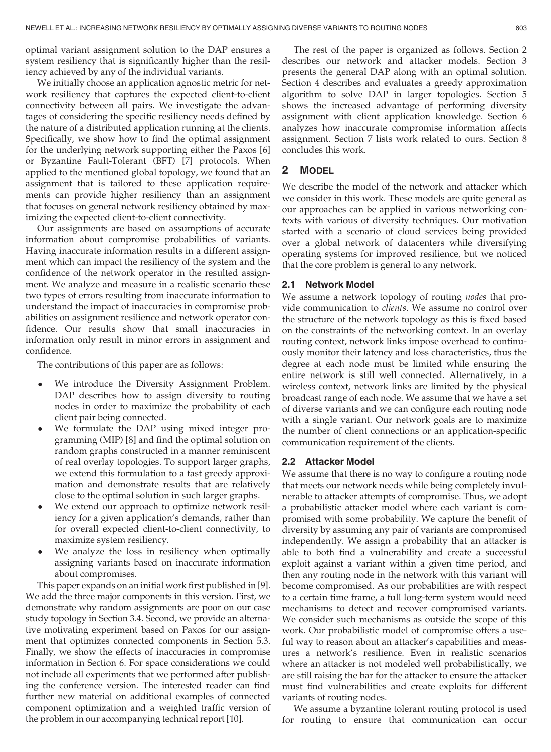optimal variant assignment solution to the DAP ensures a system resiliency that is significantly higher than the resiliency achieved by any of the individual variants.

We initially choose an application agnostic metric for network resiliency that captures the expected client-to-client connectivity between all pairs. We investigate the advantages of considering the specific resiliency needs defined by the nature of a distributed application running at the clients. Specifically, we show how to find the optimal assignment for the underlying network supporting either the Paxos [6] or Byzantine Fault-Tolerant (BFT) [7] protocols. When applied to the mentioned global topology, we found that an assignment that is tailored to these application requirements can provide higher resiliency than an assignment that focuses on general network resiliency obtained by maximizing the expected client-to-client connectivity.

Our assignments are based on assumptions of accurate information about compromise probabilities of variants. Having inaccurate information results in a different assignment which can impact the resiliency of the system and the confidence of the network operator in the resulted assignment. We analyze and measure in a realistic scenario these two types of errors resulting from inaccurate information to understand the impact of inaccuracies in compromise probabilities on assignment resilience and network operator confidence. Our results show that small inaccuracies in information only result in minor errors in assignment and confidence.

The contributions of this paper are as follows:

- We introduce the Diversity Assignment Problem. DAP describes how to assign diversity to routing nodes in order to maximize the probability of each client pair being connected.
- We formulate the DAP using mixed integer programming (MIP) [8] and find the optimal solution on random graphs constructed in a manner reminiscent of real overlay topologies. To support larger graphs, we extend this formulation to a fast greedy approximation and demonstrate results that are relatively close to the optimal solution in such larger graphs.
- We extend our approach to optimize network resiliency for a given application's demands, rather than for overall expected client-to-client connectivity, to maximize system resiliency.
- We analyze the loss in resiliency when optimally assigning variants based on inaccurate information about compromises.

This paper expands on an initial work first published in [9]. We add the three major components in this version. First, we demonstrate why random assignments are poor on our case study topology in Section 3.4. Second, we provide an alternative motivating experiment based on Paxos for our assignment that optimizes connected components in Section 5.3. Finally, we show the effects of inaccuracies in compromise information in Section 6. For space considerations we could not include all experiments that we performed after publishing the conference version. The interested reader can find further new material on additional examples of connected component optimization and a weighted traffic version of the problem in our accompanying technical report [10].

The rest of the paper is organized as follows. Section 2 describes our network and attacker models. Section 3 presents the general DAP along with an optimal solution. Section 4 describes and evaluates a greedy approximation algorithm to solve DAP in larger topologies. Section 5 shows the increased advantage of performing diversity assignment with client application knowledge. Section 6 analyzes how inaccurate compromise information affects assignment. Section 7 lists work related to ours. Section 8 concludes this work.

# 2 MODEL

We describe the model of the network and attacker which we consider in this work. These models are quite general as our approaches can be applied in various networking contexts with various of diversity techniques. Our motivation started with a scenario of cloud services being provided over a global network of datacenters while diversifying operating systems for improved resilience, but we noticed that the core problem is general to any network.

#### 2.1 Network Model

We assume a network topology of routing nodes that provide communication to clients. We assume no control over the structure of the network topology as this is fixed based on the constraints of the networking context. In an overlay routing context, network links impose overhead to continuously monitor their latency and loss characteristics, thus the degree at each node must be limited while ensuring the entire network is still well connected. Alternatively, in a wireless context, network links are limited by the physical broadcast range of each node. We assume that we have a set of diverse variants and we can configure each routing node with a single variant. Our network goals are to maximize the number of client connections or an application-specific communication requirement of the clients.

#### 2.2 Attacker Model

We assume that there is no way to configure a routing node that meets our network needs while being completely invulnerable to attacker attempts of compromise. Thus, we adopt a probabilistic attacker model where each variant is compromised with some probability. We capture the benefit of diversity by assuming any pair of variants are compromised independently. We assign a probability that an attacker is able to both find a vulnerability and create a successful exploit against a variant within a given time period, and then any routing node in the network with this variant will become compromised. As our probabilities are with respect to a certain time frame, a full long-term system would need mechanisms to detect and recover compromised variants. We consider such mechanisms as outside the scope of this work. Our probabilistic model of compromise offers a useful way to reason about an attacker's capabilities and measures a network's resilience. Even in realistic scenarios where an attacker is not modeled well probabilistically, we are still raising the bar for the attacker to ensure the attacker must find vulnerabilities and create exploits for different variants of routing nodes.

We assume a byzantine tolerant routing protocol is used for routing to ensure that communication can occur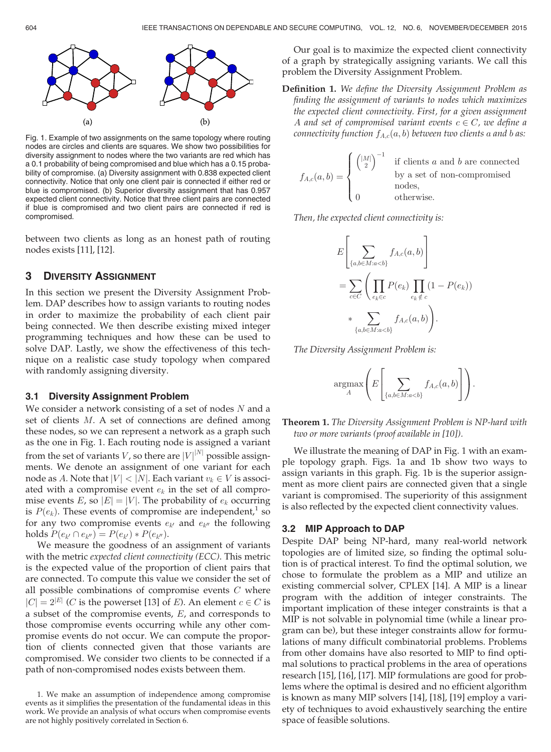

Fig. 1. Example of two assignments on the same topology where routing nodes are circles and clients are squares. We show two possibilities for diversity assignment to nodes where the two variants are red which has a 0.1 probability of being compromised and blue which has a 0.15 probability of compromise. (a) Diversity assignment with 0.838 expected client connectivity. Notice that only one client pair is connected if either red or blue is compromised. (b) Superior diversity assignment that has 0.957 expected client connectivity. Notice that three client pairs are connected if blue is compromised and two client pairs are connected if red is compromised.

between two clients as long as an honest path of routing nodes exists [11], [12].

## 3 DIVERSITY ASSIGNMENT

In this section we present the Diversity Assignment Problem. DAP describes how to assign variants to routing nodes in order to maximize the probability of each client pair being connected. We then describe existing mixed integer programming techniques and how these can be used to solve DAP. Lastly, we show the effectiveness of this technique on a realistic case study topology when compared with randomly assigning diversity.

#### 3.1 Diversity Assignment Problem

We consider a network consisting of a set of nodes  $N$  and a set of clients M. A set of connections are defined among these nodes, so we can represent a network as a graph such as the one in Fig. 1. Each routing node is assigned a variant from the set of variants *V*, so there are  $|V|^{(N)}$  possible assign-<br>ments. We denote an assignment of one variant for each ments. We denote an assignment of one variant for each node as A. Note that  $|V| < |N|$ . Each variant  $v_k \in V$  is associated with a compromise event  $e_k$  in the set of all compromise events E, so  $|E| = |V|$ . The probability of  $e_k$  occurring is  $P(e_k)$ . These events of compromise are independent,<sup>1</sup> so for any two compromise events  $e_{k'}$  and  $e_{k''}$  the following holds  $P(e_{k'} \cap e_{k''}) = P(e_{k'}) * P(e_{k''}).$ 

We measure the goodness of an assignment of variants with the metric expected client connectivity (ECC). This metric is the expected value of the proportion of client pairs that are connected. To compute this value we consider the set of all possible combinations of compromise events  $C$  where  $|C| = 2^{|E|}$  (*C* is the powerset [13] of *E*). An element  $c \in C$  is a subset of the compromise events,  $E$ , and corresponds to those compromise events occurring while any other compromise events do not occur. We can compute the proportion of clients connected given that those variants are compromised. We consider two clients to be connected if a path of non-compromised nodes exists between them.

Our goal is to maximize the expected client connectivity of a graph by strategically assigning variants. We call this problem the Diversity Assignment Problem.

Definition 1. We define the Diversity Assignment Problem as finding the assignment of variants to nodes which maximizes the expected client connectivity. First, for a given assignment A and set of compromised variant events  $c \in C$ , we define a connectivity function  $f_{A,c}(a, b)$  between two clients a and b as:

$$
f_{A,c}(a,b) = \begin{cases} \binom{|M|}{2}^{-1} & \text{if clients } a \text{ and } b \text{ are connected} \\ & \text{by a set of non-compromised nodes,} \\ 0 & \text{otherwise.} \end{cases}
$$

Then, the expected client connectivity is:

$$
E\left[\sum_{\{a,b\in M:a  
= 
$$
\sum_{c\in C} \left(\prod_{e_k\in c} P(e_k) \prod_{e_k\notin c} (1 - P(e_k))\right)
$$
  

$$
\ast \sum_{\{a,b\in M:a
$$
$$

The Diversity Assignment Problem is:

$$
\underset{A}{\operatorname{argmax}}\left(E\left[\sum_{\{a,b\in M:a
$$

## Theorem 1. The Diversity Assignment Problem is NP-hard with two or more variants (proof available in [10]).

We illustrate the meaning of DAP in Fig. 1 with an example topology graph. Figs. 1a and 1b show two ways to assign variants in this graph. Fig. 1b is the superior assignment as more client pairs are connected given that a single variant is compromised. The superiority of this assignment is also reflected by the expected client connectivity values.

#### 3.2 MIP Approach to DAP

Despite DAP being NP-hard, many real-world network topologies are of limited size, so finding the optimal solution is of practical interest. To find the optimal solution, we chose to formulate the problem as a MIP and utilize an existing commercial solver, CPLEX [14]. A MIP is a linear program with the addition of integer constraints. The important implication of these integer constraints is that a MIP is not solvable in polynomial time (while a linear program can be), but these integer constraints allow for formulations of many difficult combinatorial problems. Problems from other domains have also resorted to MIP to find optimal solutions to practical problems in the area of operations research [15], [16], [17]. MIP formulations are good for problems where the optimal is desired and no efficient algorithm is known as many MIP solvers [14], [18], [19] employ a variety of techniques to avoid exhaustively searching the entire space of feasible solutions.

<sup>1.</sup> We make an assumption of independence among compromise events as it simplifies the presentation of the fundamental ideas in this work. We provide an analysis of what occurs when compromise events are not highly positively correlated in Section 6.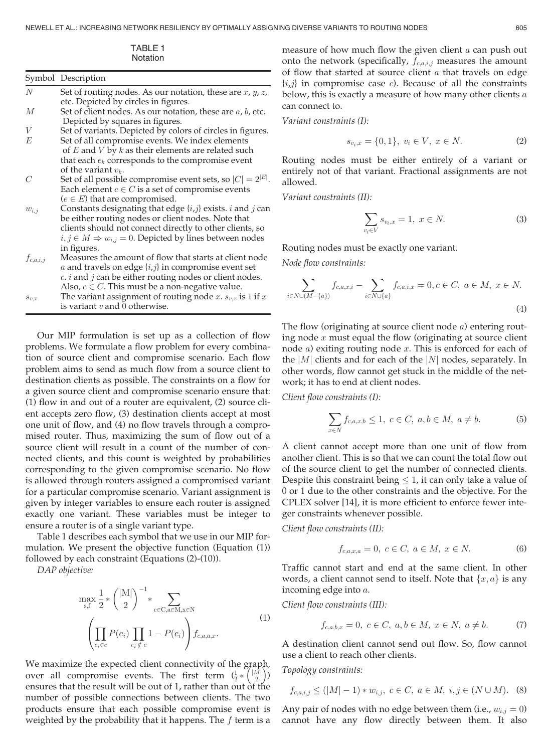TABLE 1 Notation

|               | Symbol Description                                                                                                                                                                                                                                                           |
|---------------|------------------------------------------------------------------------------------------------------------------------------------------------------------------------------------------------------------------------------------------------------------------------------|
| N             | Set of routing nodes. As our notation, these are $x, y, z$ ,<br>etc. Depicted by circles in figures.                                                                                                                                                                         |
| М             | Set of client nodes. As our notation, these are a, b, etc.<br>Depicted by squares in figures.                                                                                                                                                                                |
| V             | Set of variants. Depicted by colors of circles in figures.                                                                                                                                                                                                                   |
| E             | Set of all compromise events. We index elements<br>of $E$ and $V$ by $k$ as their elements are related such<br>that each $e_k$ corresponds to the compromise event<br>of the variant $v_k$ .                                                                                 |
| C             | Set of all possible compromise event sets, so $ C  = 2^{ E }$ .<br>Each element $c \in C$ is a set of compromise events<br>$(e \in E)$ that are compromised.                                                                                                                 |
| $w_{i,j}$     | Constants designating that edge $\{i,j\}$ exists. $i$ and $j$ can<br>be either routing nodes or client nodes. Note that<br>clients should not connect directly to other clients, so<br>$i, j \in M \Rightarrow w_{i,j} = 0$ . Depicted by lines between nodes<br>in figures. |
| $f_{c,a,i,j}$ | Measures the amount of flow that starts at client node<br>$a$ and travels on edge $\{i,j\}$ in compromise event set<br><i>c. i</i> and <i>j</i> can be either routing nodes or client nodes.<br>Also, $c \in C$ . This must be a non-negative value.                         |
| $s_{v,x}$     | The variant assignment of routing node x. $s_{v,x}$ is 1 if x<br>is variant $v$ and 0 otherwise.                                                                                                                                                                             |

Our MIP formulation is set up as a collection of flow problems. We formulate a flow problem for every combination of source client and compromise scenario. Each flow problem aims to send as much flow from a source client to destination clients as possible. The constraints on a flow for a given source client and compromise scenario ensure that: (1) flow in and out of a router are equivalent, (2) source client accepts zero flow, (3) destination clients accept at most one unit of flow, and (4) no flow travels through a compromised router. Thus, maximizing the sum of flow out of a source client will result in a count of the number of connected clients, and this count is weighted by probabilities corresponding to the given compromise scenario. No flow is allowed through routers assigned a compromised variant for a particular compromise scenario. Variant assignment is given by integer variables to ensure each router is assigned exactly one variant. These variables must be integer to ensure a router is of a single variant type.

Table 1 describes each symbol that we use in our MIP formulation. We present the objective function (Equation (1)) followed by each constraint (Equations (2)-(10)).

DAP objective:

$$
\max_{s,f} \frac{1}{2} * \binom{|M|}{2}^{-1} * \sum_{c \in C, a \in M, x \in N} \left( \prod_{e_i \in c} P(e_i) \prod_{e_i \notin c} 1 - P(e_i) \right) f_{c,a,a,x}.
$$
\n(1)

We maximize the expected client connectivity of the graph, over all compromise events. The first term  $\left(\frac{1}{2} * \binom{|\mathcal{M}|}{2}\right)$  ensures that the result will be out of 1 rather than out of the ensures that the result will be out of  $1$ , rather than out  $\delta f$  the number of possible connections between clients. The two products ensure that each possible compromise event is weighted by the probability that it happens. The  $f$  term is a

measure of how much flow the given client  $a$  can push out onto the network (specifically,  $f_{c,a,i,j}$  measures the amount of flow that started at source client  $a$  that travels on edge  ${i,j}$  in compromise case *c*). Because of all the constraints below, this is exactly a measure of how many other clients  $a$ can connect to.

Variant constraints (I):

$$
s_{v_i,x} = \{0,1\}, \ v_i \in V, \ x \in N. \tag{2}
$$

Routing nodes must be either entirely of a variant or entirely not of that variant. Fractional assignments are not allowed.

Variant constraints (II):

$$
\sum_{v_i \in V} s_{v_i, x} = 1, \ x \in N.
$$
 (3)

Routing nodes must be exactly one variant.

Node flow constraints:

$$
\sum_{i \in N \cup (M - \{a\})} f_{c,a,x,i} - \sum_{i \in N \cup \{a\}} f_{c,a,i,x} = 0, c \in C, a \in M, x \in N.
$$
\n(4)

The flow (originating at source client node a) entering routing node  $x$  must equal the flow (originating at source client node  $a$ ) exiting routing node  $x$ . This is enforced for each of the  $|M|$  clients and for each of the  $|N|$  nodes, separately. In other words, flow cannot get stuck in the middle of the network; it has to end at client nodes.

Client flow constraints (I):

$$
\sum_{x \in N} f_{c,a,x,b} \le 1, \ c \in C, \ a,b \in M, \ a \ne b.
$$
 (5)

A client cannot accept more than one unit of flow from another client. This is so that we can count the total flow out of the source client to get the number of connected clients. Despite this constraint being  $\leq 1$ , it can only take a value of 0 or 1 due to the other constraints and the objective. For the CPLEX solver [14], it is more efficient to enforce fewer integer constraints whenever possible.

Client flow constraints (II):

$$
f_{c,a,x,a} = 0, \ c \in C, \ a \in M, \ x \in N. \tag{6}
$$

Traffic cannot start and end at the same client. In other words, a client cannot send to itself. Note that  $\{x, a\}$  is any incoming edge into a.

Client flow constraints (III):

$$
f_{c,a,b,x} = 0, \ c \in C, \ a,b \in M, \ x \in N, \ a \neq b. \tag{7}
$$

A destination client cannot send out flow. So, flow cannot use a client to reach other clients.

Topology constraints:

$$
f_{c,a,i,j} \le (|M|-1) * w_{i,j}, \ c \in C, \ a \in M, \ i,j \in (N \cup M). \tag{8}
$$

Any pair of nodes with no edge between them (i.e.,  $w_{i,j} = 0$ ) cannot have any flow directly between them. It also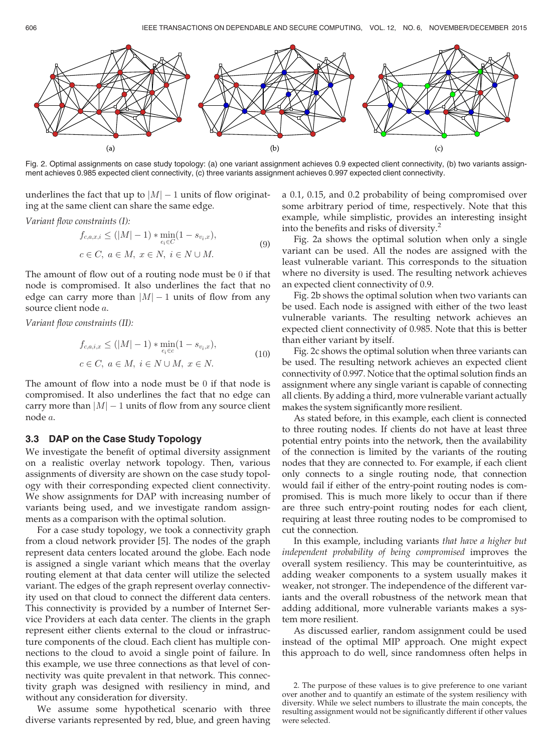

Fig. 2. Optimal assignments on case study topology: (a) one variant assignment achieves 0.9 expected client connectivity, (b) two variants assignment achieves 0.985 expected client connectivity, (c) three variants assignment achieves 0.997 expected client connectivity.

underlines the fact that up to  $|M| - 1$  units of flow originating at the same client can share the same edge.

Variant flow constraints (I):

$$
f_{c,a,x,i} \le (|M|-1) * \min_{e_i \in C} (1 - s_{v_i,x}),
$$
  
\n
$$
c \in C, \ a \in M, \ x \in N, \ i \in N \cup M.
$$
\n(9)

The amount of flow out of a routing node must be 0 if that node is compromised. It also underlines the fact that no edge can carry more than  $|M| - 1$  units of flow from any source client node a.

Variant flow constraints (II):

$$
f_{c,a,i,x} \le (|M|-1) * \min_{e_i \in c} (1 - s_{v_i,x}),
$$
  
\n
$$
c \in C, \ a \in M, \ i \in N \cup M, \ x \in N.
$$
\n(10)

The amount of flow into a node must be 0 if that node is compromised. It also underlines the fact that no edge can carry more than  $|M| - 1$  units of flow from any source client node a.

## 3.3 DAP on the Case Study Topology

We investigate the benefit of optimal diversity assignment on a realistic overlay network topology. Then, various assignments of diversity are shown on the case study topology with their corresponding expected client connectivity. We show assignments for DAP with increasing number of variants being used, and we investigate random assignments as a comparison with the optimal solution.

For a case study topology, we took a connectivity graph from a cloud network provider [5]. The nodes of the graph represent data centers located around the globe. Each node is assigned a single variant which means that the overlay routing element at that data center will utilize the selected variant. The edges of the graph represent overlay connectivity used on that cloud to connect the different data centers. This connectivity is provided by a number of Internet Service Providers at each data center. The clients in the graph represent either clients external to the cloud or infrastructure components of the cloud. Each client has multiple connections to the cloud to avoid a single point of failure. In this example, we use three connections as that level of connectivity was quite prevalent in that network. This connectivity graph was designed with resiliency in mind, and without any consideration for diversity.

We assume some hypothetical scenario with three diverse variants represented by red, blue, and green having a 0.1, 0.15, and 0.2 probability of being compromised over some arbitrary period of time, respectively. Note that this example, while simplistic, provides an interesting insight into the benefits and risks of diversity.<sup>2</sup>

Fig. 2a shows the optimal solution when only a single variant can be used. All the nodes are assigned with the least vulnerable variant. This corresponds to the situation where no diversity is used. The resulting network achieves an expected client connectivity of 0.9.

Fig. 2b shows the optimal solution when two variants can be used. Each node is assigned with either of the two least vulnerable variants. The resulting network achieves an expected client connectivity of 0.985. Note that this is better than either variant by itself.

Fig. 2c shows the optimal solution when three variants can be used. The resulting network achieves an expected client connectivity of 0.997. Notice that the optimal solution finds an assignment where any single variant is capable of connecting all clients. By adding a third, more vulnerable variant actually makes the system significantly more resilient.

As stated before, in this example, each client is connected to three routing nodes. If clients do not have at least three potential entry points into the network, then the availability of the connection is limited by the variants of the routing nodes that they are connected to. For example, if each client only connects to a single routing node, that connection would fail if either of the entry-point routing nodes is compromised. This is much more likely to occur than if there are three such entry-point routing nodes for each client, requiring at least three routing nodes to be compromised to cut the connection.

In this example, including variants that have a higher but independent probability of being compromised improves the overall system resiliency. This may be counterintuitive, as adding weaker components to a system usually makes it weaker, not stronger. The independence of the different variants and the overall robustness of the network mean that adding additional, more vulnerable variants makes a system more resilient.

As discussed earlier, random assignment could be used instead of the optimal MIP approach. One might expect this approach to do well, since randomness often helps in

<sup>2.</sup> The purpose of these values is to give preference to one variant over another and to quantify an estimate of the system resiliency with diversity. While we select numbers to illustrate the main concepts, the resulting assignment would not be significantly different if other values were selected.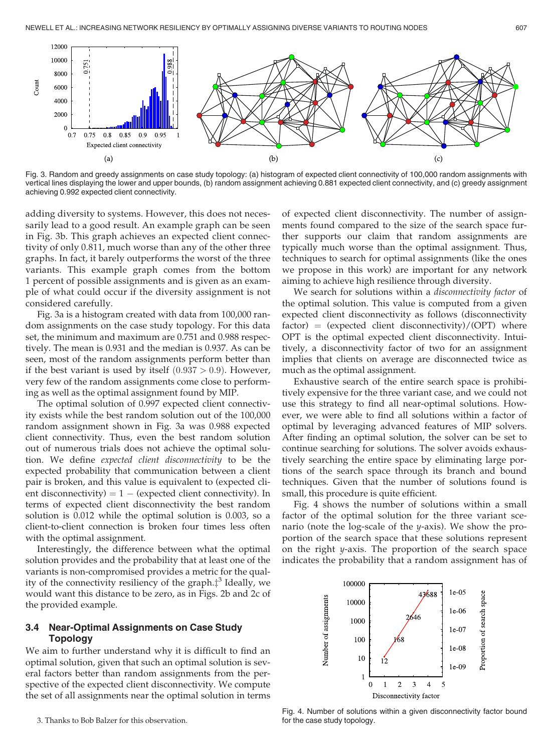

Fig. 3. Random and greedy assignments on case study topology: (a) histogram of expected client connectivity of 100,000 random assignments with vertical lines displaying the lower and upper bounds, (b) random assignment achieving 0.881 expected client connectivity, and (c) greedy assignment achieving 0.992 expected client connectivity.

adding diversity to systems. However, this does not necessarily lead to a good result. An example graph can be seen in Fig. 3b. This graph achieves an expected client connectivity of only 0.811, much worse than any of the other three graphs. In fact, it barely outperforms the worst of the three variants. This example graph comes from the bottom 1 percent of possible assignments and is given as an example of what could occur if the diversity assignment is not considered carefully.

Fig. 3a is a histogram created with data from 100,000 random assignments on the case study topology. For this data set, the minimum and maximum are 0.751 and 0.988 respectively. The mean is 0.931 and the median is 0.937. As can be seen, most of the random assignments perform better than if the best variant is used by itself  $(0.937 > 0.9)$ . However, very few of the random assignments come close to performing as well as the optimal assignment found by MIP.

The optimal solution of 0.997 expected client connectivity exists while the best random solution out of the 100,000 random assignment shown in Fig. 3a was 0.988 expected client connectivity. Thus, even the best random solution out of numerous trials does not achieve the optimal solution. We define expected client disconnectivity to be the expected probability that communication between a client pair is broken, and this value is equivalent to (expected client disconnectivity)  $= 1 -$  (expected client connectivity). In terms of expected client disconnectivity the best random solution is 0.012 while the optimal solution is 0.003, so a client-to-client connection is broken four times less often with the optimal assignment.

Interestingly, the difference between what the optimal solution provides and the probability that at least one of the variants is non-compromised provides a metric for the quality of the connectivity resiliency of the graph. $\ddagger^3$  Ideally, we would want this distance to be zero, as in Figs. 2b and 2c of would want this distance to be zero, as in Figs. 2b and 2c of the provided example.

## 3.4 Near-Optimal Assignments on Case Study Topology

We aim to further understand why it is difficult to find an optimal solution, given that such an optimal solution is several factors better than random assignments from the perspective of the expected client disconnectivity. We compute the set of all assignments near the optimal solution in terms of expected client disconnectivity. The number of assignments found compared to the size of the search space further supports our claim that random assignments are typically much worse than the optimal assignment. Thus, techniques to search for optimal assignments (like the ones we propose in this work) are important for any network aiming to achieve high resilience through diversity.

We search for solutions within a *disconnectivity factor* of the optimal solution. This value is computed from a given expected client disconnectivity as follows (disconnectivity  $factor) = (expected client discontinuity)/(OPT)$  where OPT is the optimal expected client disconnectivity. Intuitively, a disconnectivity factor of two for an assignment implies that clients on average are disconnected twice as much as the optimal assignment.

Exhaustive search of the entire search space is prohibitively expensive for the three variant case, and we could not use this strategy to find all near-optimal solutions. However, we were able to find all solutions within a factor of optimal by leveraging advanced features of MIP solvers. After finding an optimal solution, the solver can be set to continue searching for solutions. The solver avoids exhaustively searching the entire space by eliminating large portions of the search space through its branch and bound techniques. Given that the number of solutions found is small, this procedure is quite efficient.

Fig. 4 shows the number of solutions within a small factor of the optimal solution for the three variant scenario (note the log-scale of the y-axis). We show the proportion of the search space that these solutions represent on the right y-axis. The proportion of the search space indicates the probability that a random assignment has of



Fig. 4. Number of solutions within a given disconnectivity factor bound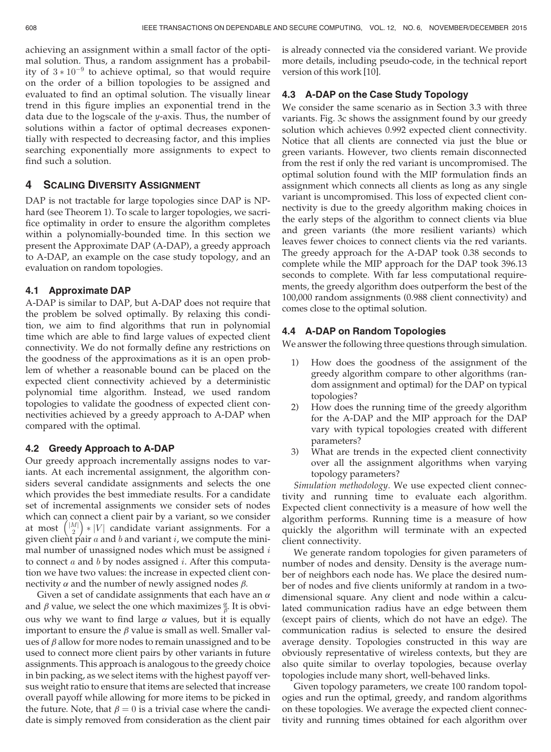achieving an assignment within a small factor of the optimal solution. Thus, a random assignment has a probability of  $3 * 10^{-9}$  to achieve optimal, so that would require on the order of a billion topologies to be assigned and evaluated to find an optimal solution. The visually linear trend in this figure implies an exponential trend in the data due to the logscale of the  $y$ -axis. Thus, the number of solutions within a factor of optimal decreases exponentially with respected to decreasing factor, and this implies searching exponentially more assignments to expect to find such a solution.

## 4 SCALING DIVERSITY ASSIGNMENT

DAP is not tractable for large topologies since DAP is NPhard (see Theorem 1). To scale to larger topologies, we sacrifice optimality in order to ensure the algorithm completes within a polynomially-bounded time. In this section we present the Approximate DAP (A-DAP), a greedy approach to A-DAP, an example on the case study topology, and an evaluation on random topologies.

#### 4.1 Approximate DAP

A-DAP is similar to DAP, but A-DAP does not require that the problem be solved optimally. By relaxing this condition, we aim to find algorithms that run in polynomial time which are able to find large values of expected client connectivity. We do not formally define any restrictions on the goodness of the approximations as it is an open problem of whether a reasonable bound can be placed on the expected client connectivity achieved by a deterministic polynomial time algorithm. Instead, we used random topologies to validate the goodness of expected client connectivities achieved by a greedy approach to A-DAP when compared with the optimal.

#### 4.2 Greedy Approach to A-DAP

Our greedy approach incrementally assigns nodes to variants. At each incremental assignment, the algorithm considers several candidate assignments and selects the one which provides the best immediate results. For a candidate set of incremental assignments we consider sets of nodes which can connect a client pair by a variant, so we consider at most  $\binom{|M|}{2}$  \* |V| candidate variant assignments. For a given client pair  $a$  and  $b$  and variant  $i$ , we compute the minimal number of unassigned nodes which must be assigned  $i$ to connect  $a$  and  $b$  by nodes assigned  $i$ . After this computation we have two values: the increase in expected client connectivity  $\alpha$  and the number of newly assigned nodes  $\beta$ .

Given a set of candidate assignments that each have an  $\alpha$ and  $\beta$  value, we select the one which maximizes  $\frac{\alpha}{\beta}$ . It is obvious why we want to find large  $\alpha$  values, but it is equally important to ensure the  $\beta$  value is small as well. Smaller values of  $\beta$  allow for more nodes to remain unassigned and to be used to connect more client pairs by other variants in future assignments. This approach is analogous to the greedy choice in bin packing, as we select items with the highest payoff versus weight ratio to ensure that items are selected that increase overall payoff while allowing for more items to be picked in the future. Note, that  $\beta = 0$  is a trivial case where the candidate is simply removed from consideration as the client pair is already connected via the considered variant. We provide more details, including pseudo-code, in the technical report version of this work [10].

## 4.3 A-DAP on the Case Study Topology

We consider the same scenario as in Section 3.3 with three variants. Fig. 3c shows the assignment found by our greedy solution which achieves 0.992 expected client connectivity. Notice that all clients are connected via just the blue or green variants. However, two clients remain disconnected from the rest if only the red variant is uncompromised. The optimal solution found with the MIP formulation finds an assignment which connects all clients as long as any single variant is uncompromised. This loss of expected client connectivity is due to the greedy algorithm making choices in the early steps of the algorithm to connect clients via blue and green variants (the more resilient variants) which leaves fewer choices to connect clients via the red variants. The greedy approach for the A-DAP took 0.38 seconds to complete while the MIP approach for the DAP took 396.13 seconds to complete. With far less computational requirements, the greedy algorithm does outperform the best of the 100,000 random assignments (0.988 client connectivity) and comes close to the optimal solution.

## 4.4 A-DAP on Random Topologies

We answer the following three questions through simulation.

- 1) How does the goodness of the assignment of the greedy algorithm compare to other algorithms (random assignment and optimal) for the DAP on typical topologies?
- 2) How does the running time of the greedy algorithm for the A-DAP and the MIP approach for the DAP vary with typical topologies created with different parameters?
- 3) What are trends in the expected client connectivity over all the assignment algorithms when varying topology parameters?

Simulation methodology. We use expected client connectivity and running time to evaluate each algorithm. Expected client connectivity is a measure of how well the algorithm performs. Running time is a measure of how quickly the algorithm will terminate with an expected client connectivity.

We generate random topologies for given parameters of number of nodes and density. Density is the average number of neighbors each node has. We place the desired number of nodes and five clients uniformly at random in a twodimensional square. Any client and node within a calculated communication radius have an edge between them (except pairs of clients, which do not have an edge). The communication radius is selected to ensure the desired average density. Topologies constructed in this way are obviously representative of wireless contexts, but they are also quite similar to overlay topologies, because overlay topologies include many short, well-behaved links.

Given topology parameters, we create 100 random topologies and run the optimal, greedy, and random algorithms on these topologies. We average the expected client connectivity and running times obtained for each algorithm over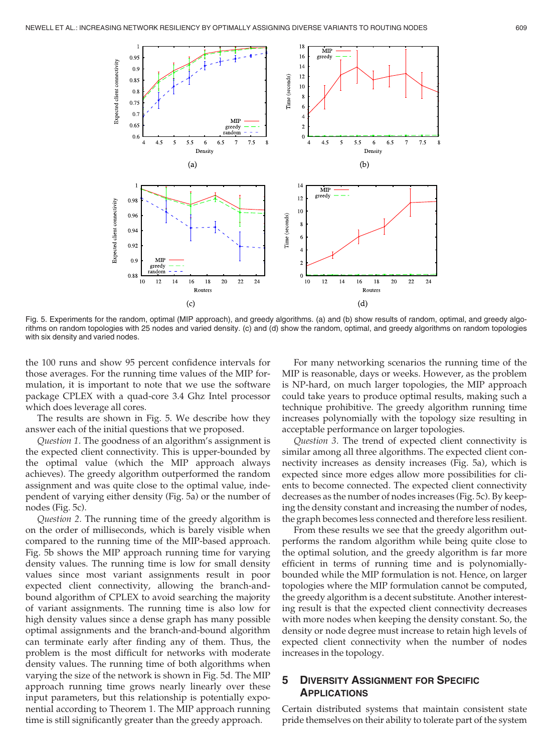

Fig. 5. Experiments for the random, optimal (MIP approach), and greedy algorithms. (a) and (b) show results of random, optimal, and greedy algorithms on random topologies with 25 nodes and varied density. (c) and (d) show the random, optimal, and greedy algorithms on random topologies with six density and varied nodes.

the 100 runs and show 95 percent confidence intervals for those averages. For the running time values of the MIP formulation, it is important to note that we use the software package CPLEX with a quad-core 3.4 Ghz Intel processor which does leverage all cores.

The results are shown in Fig. 5. We describe how they answer each of the initial questions that we proposed.

Question 1. The goodness of an algorithm's assignment is the expected client connectivity. This is upper-bounded by the optimal value (which the MIP approach always achieves). The greedy algorithm outperformed the random assignment and was quite close to the optimal value, independent of varying either density (Fig. 5a) or the number of nodes (Fig. 5c).

Question 2. The running time of the greedy algorithm is on the order of milliseconds, which is barely visible when compared to the running time of the MIP-based approach. Fig. 5b shows the MIP approach running time for varying density values. The running time is low for small density values since most variant assignments result in poor expected client connectivity, allowing the branch-andbound algorithm of CPLEX to avoid searching the majority of variant assignments. The running time is also low for high density values since a dense graph has many possible optimal assignments and the branch-and-bound algorithm can terminate early after finding any of them. Thus, the problem is the most difficult for networks with moderate density values. The running time of both algorithms when varying the size of the network is shown in Fig. 5d. The MIP approach running time grows nearly linearly over these input parameters, but this relationship is potentially exponential according to Theorem 1. The MIP approach running time is still significantly greater than the greedy approach.

For many networking scenarios the running time of the MIP is reasonable, days or weeks. However, as the problem is NP-hard, on much larger topologies, the MIP approach could take years to produce optimal results, making such a technique prohibitive. The greedy algorithm running time increases polynomially with the topology size resulting in acceptable performance on larger topologies.

Question 3. The trend of expected client connectivity is similar among all three algorithms. The expected client connectivity increases as density increases (Fig. 5a), which is expected since more edges allow more possibilities for clients to become connected. The expected client connectivity decreases as the number of nodes increases (Fig. 5c). By keeping the density constant and increasing the number of nodes, the graph becomes less connected and therefore less resilient.

From these results we see that the greedy algorithm outperforms the random algorithm while being quite close to the optimal solution, and the greedy algorithm is far more efficient in terms of running time and is polynomiallybounded while the MIP formulation is not. Hence, on larger topologies where the MIP formulation cannot be computed, the greedy algorithm is a decent substitute. Another interesting result is that the expected client connectivity decreases with more nodes when keeping the density constant. So, the density or node degree must increase to retain high levels of expected client connectivity when the number of nodes increases in the topology.

# 5 DIVERSITY ASSIGNMENT FOR SPECIFIC APPLICATIONS

Certain distributed systems that maintain consistent state pride themselves on their ability to tolerate part of the system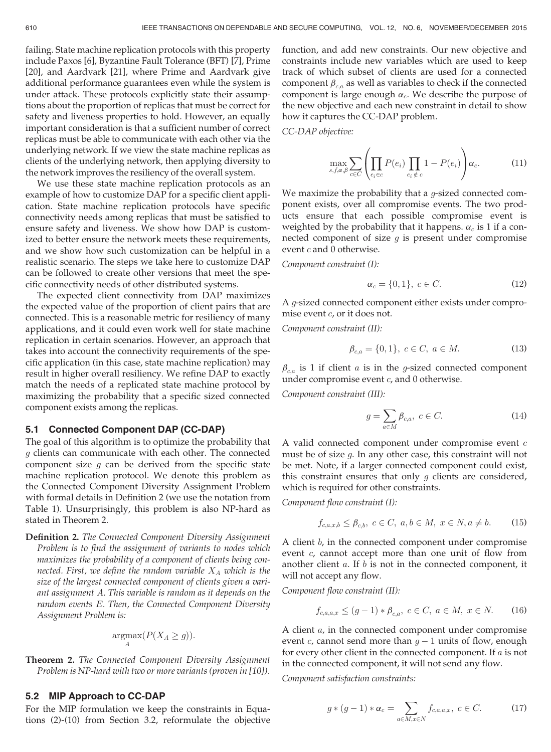failing. State machine replication protocols with this property include Paxos [6], Byzantine Fault Tolerance (BFT) [7], Prime [20], and Aardvark [21], where Prime and Aardvark give additional performance guarantees even while the system is under attack. These protocols explicitly state their assumptions about the proportion of replicas that must be correct for safety and liveness properties to hold. However, an equally important consideration is that a sufficient number of correct replicas must be able to communicate with each other via the underlying network. If we view the state machine replicas as clients of the underlying network, then applying diversity to the network improves the resiliency of the overall system.

We use these state machine replication protocols as an example of how to customize DAP for a specific client application. State machine replication protocols have specific connectivity needs among replicas that must be satisfied to ensure safety and liveness. We show how DAP is customized to better ensure the network meets these requirements, and we show how such customization can be helpful in a realistic scenario. The steps we take here to customize DAP can be followed to create other versions that meet the specific connectivity needs of other distributed systems.

The expected client connectivity from DAP maximizes the expected value of the proportion of client pairs that are connected. This is a reasonable metric for resiliency of many applications, and it could even work well for state machine replication in certain scenarios. However, an approach that takes into account the connectivity requirements of the specific application (in this case, state machine replication) may result in higher overall resiliency. We refine DAP to exactly match the needs of a replicated state machine protocol by maximizing the probability that a specific sized connected component exists among the replicas.

#### 5.1 Connected Component DAP (CC-DAP)

The goal of this algorithm is to optimize the probability that g clients can communicate with each other. The connected component size  $g$  can be derived from the specific state machine replication protocol. We denote this problem as the Connected Component Diversity Assignment Problem with formal details in Definition 2 (we use the notation from Table 1). Unsurprisingly, this problem is also NP-hard as stated in Theorem 2.

Definition 2. The Connected Component Diversity Assignment Problem is to find the assignment of variants to nodes which maximizes the probability of a component of clients being connected. First, we define the random variable  $X_A$  which is the size of the largest connected component of clients given a variant assignment A. This variable is random as it depends on the random events E. Then, the Connected Component Diversity Assignment Problem is:

$$
\underset{A}{\operatorname{argmax}}(P(X_A \ge g)).
$$

Theorem 2. The Connected Component Diversity Assignment Problem is NP-hard with two or more variants (proven in [10]).

#### 5.2 MIP Approach to CC-DAP

For the MIP formulation we keep the constraints in Equations (2)-(10) from Section 3.2, reformulate the objective

function, and add new constraints. Our new objective and constraints include new variables which are used to keep track of which subset of clients are used for a connected component  $\beta_{c,a}$  as well as variables to check if the connected component is large enough  $\alpha_c$ . We describe the purpose of the new objective and each new constraint in detail to show how it captures the CC-DAP problem.

CC-DAP objective:

$$
\max_{s, f, \alpha, \beta} \sum_{c \in C} \left( \prod_{e_i \in c} P(e_i) \prod_{e_i \notin c} 1 - P(e_i) \right) \alpha_c.
$$
 (11)

We maximize the probability that a  $g$ -sized connected component exists, over all compromise events. The two products ensure that each possible compromise event is weighted by the probability that it happens.  $\alpha_c$  is 1 if a connected component of size  $g$  is present under compromise event c and 0 otherwise.

Component constraint (I):

$$
\alpha_c = \{0, 1\}, \ c \in C. \tag{12}
$$

<sup>A</sup> g-sized connected component either exists under compromise event  $c$ , or it does not.

Component constraint (II):

$$
\beta_{c,a} = \{0, 1\}, \ c \in C, \ a \in M. \tag{13}
$$

 $\beta_{c,a}$  is 1 if client a is in the g-sized connected component under compromise event  $c$ , and 0 otherwise.

Component constraint (III):

$$
g = \sum_{a \in M} \beta_{c,a}, \ c \in C. \tag{14}
$$

A valid connected component under compromise event c must be of size g. In any other case, this constraint will not be met. Note, if a larger connected component could exist, this constraint ensures that only  $q$  clients are considered, which is required for other constraints.

Component flow constraint (I):

$$
f_{c,a,x,b} \leq \beta_{c,b}, \ c \in C, \ a,b \in M, \ x \in N, a \neq b. \tag{15}
$$

A client b, in the connected component under compromise event c, cannot accept more than one unit of flow from another client  $a$ . If  $b$  is not in the connected component, it will not accept any flow.

Component flow constraint (II):

$$
f_{c,a,a,x} \le (g-1) * \beta_{c,a}, \ c \in C, \ a \in M, \ x \in N. \tag{16}
$$

A client  $a$ , in the connected component under compromise event c, cannot send more than  $g - 1$  units of flow, enough for every other client in the connected component. If  $a$  is not in the connected component, it will not send any flow.

Component satisfaction constraints:

$$
g * (g - 1) * \alpha_c = \sum_{a \in M, x \in N} f_{c,a,a,x}, \ c \in C.
$$
 (17)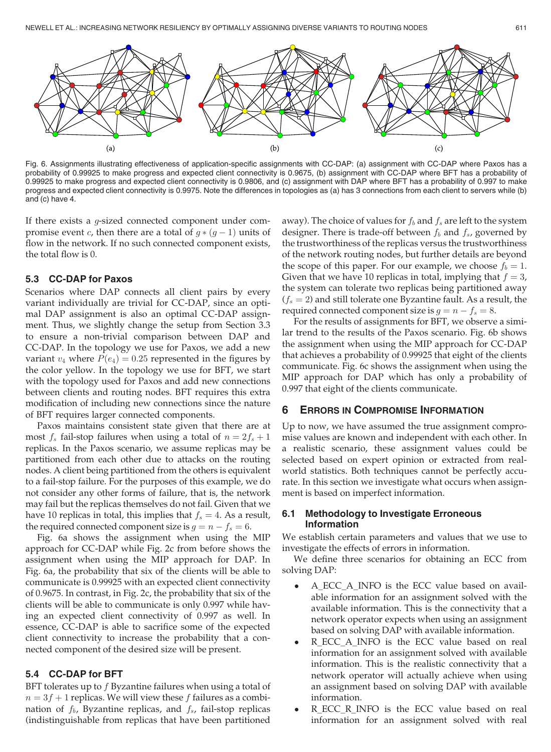

Fig. 6. Assignments illustrating effectiveness of application-specific assignments with CC-DAP: (a) assignment with CC-DAP where Paxos has a probability of 0.99925 to make progress and expected client connectivity is 0.9675, (b) assignment with CC-DAP where BFT has a probability of 0.99925 to make progress and expected client connectivity is 0.9806, and (c) assignment with DAP where BFT has a probability of 0.997 to make progress and expected client connectivity is 0.9975. Note the differences in topologies as (a) has 3 connections from each client to servers while (b) and (c) have 4.

If there exists a g-sized connected component under compromise event c, then there are a total of  $g * (g - 1)$  units of flow in the network. If no such connected component exists, the total flow is 0.

## 5.3 CC-DAP for Paxos

Scenarios where DAP connects all client pairs by every variant individually are trivial for CC-DAP, since an optimal DAP assignment is also an optimal CC-DAP assignment. Thus, we slightly change the setup from Section 3.3 to ensure a non-trivial comparison between DAP and CC-DAP. In the topology we use for Paxos, we add a new variant  $v_4$  where  $P(e_4) = 0.25$  represented in the figures by the color yellow. In the topology we use for BFT, we start with the topology used for Paxos and add new connections between clients and routing nodes. BFT requires this extra modification of including new connections since the nature of BFT requires larger connected components.

Paxos maintains consistent state given that there are at most  $f_s$  fail-stop failures when using a total of  $n = 2f_s + 1$ replicas. In the Paxos scenario, we assume replicas may be partitioned from each other due to attacks on the routing nodes. A client being partitioned from the others is equivalent to a fail-stop failure. For the purposes of this example, we do not consider any other forms of failure, that is, the network may fail but the replicas themselves do not fail. Given that we have 10 replicas in total, this implies that  $f_s = 4$ . As a result, the required connected component size is  $g = n - f_s = 6$ .

Fig. 6a shows the assignment when using the MIP approach for CC-DAP while Fig. 2c from before shows the assignment when using the MIP approach for DAP. In Fig. 6a, the probability that six of the clients will be able to communicate is 0.99925 with an expected client connectivity of 0.9675. In contrast, in Fig. 2c, the probability that six of the clients will be able to communicate is only 0.997 while having an expected client connectivity of 0.997 as well. In essence, CC-DAP is able to sacrifice some of the expected client connectivity to increase the probability that a connected component of the desired size will be present.

#### 5.4 CC-DAP for BFT

BFT tolerates up to  $f$  Byzantine failures when using a total of  $n = 3f + 1$  replicas. We will view these f failures as a combination of  $f_b$ , Byzantine replicas, and  $f_s$ , fail-stop replicas (indistinguishable from replicas that have been partitioned away). The choice of values for  $f_b$  and  $f_s$  are left to the system designer. There is trade-off between  $f_b$  and  $f_s$ , governed by the trustworthiness of the replicas versus the trustworthiness of the network routing nodes, but further details are beyond the scope of this paper. For our example, we choose  $f_b = 1$ . Given that we have 10 replicas in total, implying that  $f = 3$ , the system can tolerate two replicas being partitioned away  $(f_s = 2)$  and still tolerate one Byzantine fault. As a result, the required connected component size is  $g = n - f_s = 8$ .

For the results of assignments for BFT, we observe a similar trend to the results of the Paxos scenario. Fig. 6b shows the assignment when using the MIP approach for CC-DAP that achieves a probability of 0.99925 that eight of the clients communicate. Fig. 6c shows the assignment when using the MIP approach for DAP which has only a probability of 0.997 that eight of the clients communicate.

## 6 ERRORS IN COMPROMISE INFORMATION

Up to now, we have assumed the true assignment compromise values are known and independent with each other. In a realistic scenario, these assignment values could be selected based on expert opinion or extracted from realworld statistics. Both techniques cannot be perfectly accurate. In this section we investigate what occurs when assignment is based on imperfect information.

#### 6.1 Methodology to Investigate Erroneous Information

We establish certain parameters and values that we use to investigate the effects of errors in information.

We define three scenarios for obtaining an ECC from solving DAP:

- A\_ECC\_A\_INFO is the ECC value based on available information for an assignment solved with the available information. This is the connectivity that a network operator expects when using an assignment based on solving DAP with available information.
- R\_ECC\_A\_INFO is the ECC\_value based on real information for an assignment solved with available information. This is the realistic connectivity that a network operator will actually achieve when using an assignment based on solving DAP with available information.
- R ECC R INFO is the ECC value based on real information for an assignment solved with real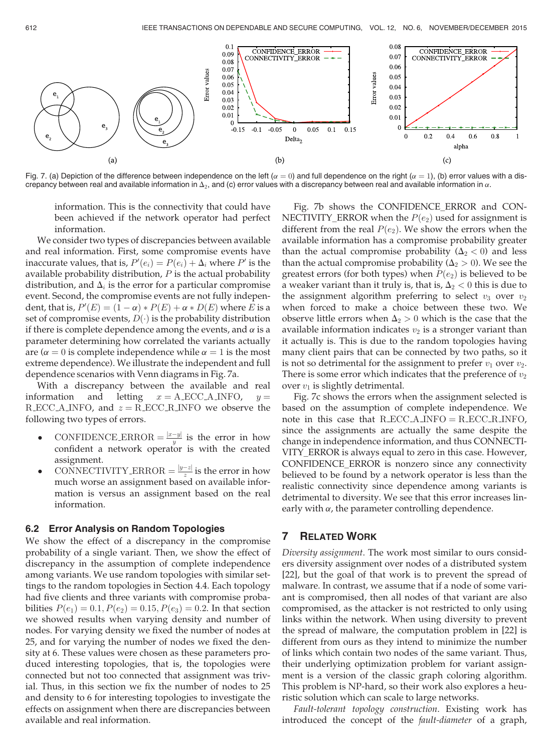

Fig. 7. (a) Depiction of the difference between independence on the left ( $\alpha = 0$ ) and full dependence on the right ( $\alpha = 1$ ), (b) error values with a discrepancy between real and available information in  $\Delta_2$ , and (c) error values with a discrepancy between real and available information in  $\alpha$ .

information. This is the connectivity that could have been achieved if the network operator had perfect information.

We consider two types of discrepancies between available and real information. First, some compromise events have inaccurate values, that is,  $P'(e_i) = P(e_i) + \Delta_i$  where P' is the available probability distribution. P is the actual probability available probability distribution,  $P$  is the actual probability distribution, and  $\Delta_i$  is the error for a particular compromise event. Second, the compromise events are not fully independent, that is,  $P'(E) = (1 - \alpha) * P(E) + \alpha * D(E)$  where E is a<br>set of compromise events  $D(.)$  is the probability distribution set of compromise events,  $D(\cdot)$  is the probability distribution if there is complete dependence among the events, and  $\alpha$  is a parameter determining how correlated the variants actually are ( $\alpha = 0$  is complete independence while  $\alpha = 1$  is the most extreme dependence). We illustrate the independent and full dependence scenarios with Venn diagrams in Fig. 7a.

With a discrepancy between the available and real ormation and letting  $x = A\_ECC\_A\_INFO$ ,  $y =$ information and letting  $x = A\_ECC.A\_INFO$ ,  $y = R\_ECC A\_INFO$  and  $z = R\_ECC R\_INFO$  we observe the R\_ECC\_A\_INFO, and  $z =$  R\_ECC\_R\_INFO we observe the following two types of errors following two types of errors.

- CONFIDENCE ERROR  $=\frac{|x-y|}{y}$  is the error in how<br>confident a network operator is with the created confident a network operator is with the created assignment.
- CONNECTIVITY ERROR  $=\frac{|y-z|}{z}$  is the error in how<br>much worse an assignment based on available informuch worse an assignment based on available information is versus an assignment based on the real information.

#### 6.2 Error Analysis on Random Topologies

We show the effect of a discrepancy in the compromise probability of a single variant. Then, we show the effect of discrepancy in the assumption of complete independence among variants. We use random topologies with similar settings to the random topologies in Section 4.4. Each topology had five clients and three variants with compromise probabilities  $P(e_1) = 0.1, P(e_2) = 0.15, P(e_3) = 0.2$ . In that section we showed results when varying density and number of nodes. For varying density we fixed the number of nodes at 25, and for varying the number of nodes we fixed the density at 6. These values were chosen as these parameters produced interesting topologies, that is, the topologies were connected but not too connected that assignment was trivial. Thus, in this section we fix the number of nodes to 25 and density to 6 for interesting topologies to investigate the effects on assignment when there are discrepancies between available and real information.

Fig. 7b shows the CONFIDENCE\_ERROR and CON-NECTIVITY\_ERROR when the  $P(e_2)$  used for assignment is different from the real  $P(e_2)$ . We show the errors when the available information has a compromise probability greater than the actual compromise probability  $(\Delta_2 < 0)$  and less than the actual compromise probability ( $\Delta_2 > 0$ ). We see the greatest errors (for both types) when  $P(e_2)$  is believed to be a weaker variant than it truly is, that is,  $\Delta_2 < 0$  this is due to the assignment algorithm preferring to select  $v_3$  over  $v_2$ when forced to make a choice between these two. We observe little errors when  $\Delta_2 > 0$  which is the case that the available information indicates  $v_2$  is a stronger variant than it actually is. This is due to the random topologies having many client pairs that can be connected by two paths, so it is not so detrimental for the assignment to prefer  $v_1$  over  $v_2$ . There is some error which indicates that the preference of  $v_2$ over  $v_1$  is slightly detrimental.

Fig. 7c shows the errors when the assignment selected is based on the assumption of complete independence. We note in this case that  $R \text{ECC-A}$  INFO =  $R \text{ECC}$  R INFO, since the assignments are actually the same despite the change in independence information, and thus CONNECTI-VITY ERROR is always equal to zero in this case. However, CONFIDENCE\_ERROR is nonzero since any connectivity believed to be found by a network operator is less than the realistic connectivity since dependence among variants is detrimental to diversity. We see that this error increases linearly with  $\alpha$ , the parameter controlling dependence.

## 7 RELATED WORK

Diversity assignment. The work most similar to ours considers diversity assignment over nodes of a distributed system [22], but the goal of that work is to prevent the spread of malware. In contrast, we assume that if a node of some variant is compromised, then all nodes of that variant are also compromised, as the attacker is not restricted to only using links within the network. When using diversity to prevent the spread of malware, the computation problem in [22] is different from ours as they intend to minimize the number of links which contain two nodes of the same variant. Thus, their underlying optimization problem for variant assignment is a version of the classic graph coloring algorithm. This problem is NP-hard, so their work also explores a heuristic solution which can scale to large networks.

Fault-tolerant topology construction. Existing work has introduced the concept of the fault-diameter of a graph,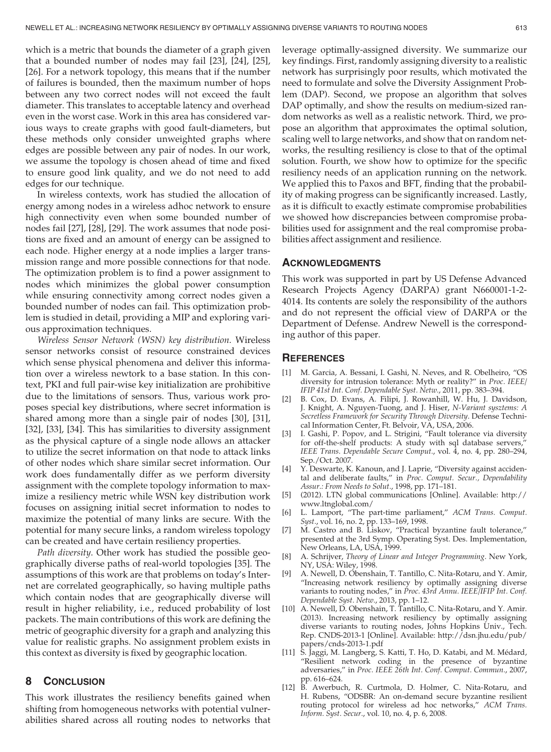which is a metric that bounds the diameter of a graph given that a bounded number of nodes may fail [23], [24], [25], [26]. For a network topology, this means that if the number of failures is bounded, then the maximum number of hops between any two correct nodes will not exceed the fault diameter. This translates to acceptable latency and overhead even in the worst case. Work in this area has considered various ways to create graphs with good fault-diameters, but these methods only consider unweighted graphs where edges are possible between any pair of nodes. In our work, we assume the topology is chosen ahead of time and fixed to ensure good link quality, and we do not need to add edges for our technique.

In wireless contexts, work has studied the allocation of energy among nodes in a wireless adhoc network to ensure high connectivity even when some bounded number of nodes fail [27], [28], [29]. The work assumes that node positions are fixed and an amount of energy can be assigned to each node. Higher energy at a node implies a larger transmission range and more possible connections for that node. The optimization problem is to find a power assignment to nodes which minimizes the global power consumption while ensuring connectivity among correct nodes given a bounded number of nodes can fail. This optimization problem is studied in detail, providing a MIP and exploring various approximation techniques.

Wireless Sensor Network (WSN) key distribution. Wireless sensor networks consist of resource constrained devices which sense physical phenomena and deliver this information over a wireless newtork to a base station. In this context, PKI and full pair-wise key initialization are prohibitive due to the limitations of sensors. Thus, various work proposes special key distributions, where secret information is shared among more than a single pair of nodes [30], [31], [32], [33], [34]. This has similarities to diversity assignment as the physical capture of a single node allows an attacker to utilize the secret information on that node to attack links of other nodes which share similar secret information. Our work does fundamentally differ as we perform diversity assignment with the complete topology information to maximize a resiliency metric while WSN key distribution work focuses on assigning initial secret information to nodes to maximize the potential of many links are secure. With the potential for many secure links, a random wireless topology can be created and have certain resiliency properties.

Path diversity. Other work has studied the possible geographically diverse paths of real-world topologies [35]. The assumptions of this work are that problems on today's Internet are correlated geographically, so having multiple paths which contain nodes that are geographically diverse will result in higher reliability, i.e., reduced probability of lost packets. The main contributions of this work are defining the metric of geographic diversity for a graph and analyzing this value for realistic graphs. No assignment problem exists in this context as diversity is fixed by geographic location.

## 8 CONCLUSION

This work illustrates the resiliency benefits gained when shifting from homogeneous networks with potential vulnerabilities shared across all routing nodes to networks that leverage optimally-assigned diversity. We summarize our key findings. First, randomly assigning diversity to a realistic network has surprisingly poor results, which motivated the need to formulate and solve the Diversity Assignment Problem (DAP). Second, we propose an algorithm that solves DAP optimally, and show the results on medium-sized random networks as well as a realistic network. Third, we propose an algorithm that approximates the optimal solution, scaling well to large networks, and show that on random networks, the resulting resiliency is close to that of the optimal solution. Fourth, we show how to optimize for the specific resiliency needs of an application running on the network. We applied this to Paxos and BFT, finding that the probability of making progress can be significantly increased. Lastly, as it is difficult to exactly estimate compromise probabilities we showed how discrepancies between compromise probabilities used for assignment and the real compromise probabilities affect assignment and resilience.

### ACKNOWLEDGMENTS

This work was supported in part by US Defense Advanced Research Projects Agency (DARPA) grant N660001-1-2- 4014. Its contents are solely the responsibility of the authors and do not represent the official view of DARPA or the Department of Defense. Andrew Newell is the corresponding author of this paper.

## **REFERENCES**

- [1] M. Garcia, A. Bessani, I. Gashi, N. Neves, and R. Obelheiro, "OS diversity for intrusion tolerance: Myth or reality?" in Proc. IEEE/ IFIP 41st Int. Conf. Dependable Syst. Netw., 2011, pp. 383–394.
- [2] B. Cox, D. Evans, A. Filipi, J. Rowanhill, W. Hu, J. Davidson, J. Knight, A. Nguyen-Tuong, and J. Hiser, N-Variant sysztems: A Secretless Framework for Security Through Diversity. Defense Technical Information Center, Ft. Belvoir, VA, USA, 2006.
- [3] I. Gashi, P. Popov, and L. Strigini, "Fault tolerance via diversity for off-the-shelf products: A study with sql database servers," IEEE Trans. Dependable Secure Comput., vol. 4, no. 4, pp. 280–294, Sep./Oct. 2007.
- [4] Y. Deswarte, K. Kanoun, and J. Laprie, "Diversity against accidental and deliberate faults," in Proc. Comput. Secur., Dependability Assur.: From Needs to Solut., 1998, pp. 171–181.
- [5] (2012). LTN global communications [Online]. Available: http:// www.ltnglobal.com/
- [6] L. Lamport, "The part-time parliament," ACM Trans. Comput. Syst., vol. 16, no. 2, pp. 133–169, 1998.
- [7] M. Castro and B. Liskov, "Practical byzantine fault tolerance," presented at the 3rd Symp. Operating Syst. Des. Implementation, New Orleans, LA, USA, 1999.
- [8] A. Schrijver, Theory of Linear and Integer Programming. New York, NY, USA: Wiley, 1998.
- [9] A. Newell, D. Obenshain, T. Tantillo, C. Nita-Rotaru, and Y. Amir, "Increasing network resiliency by optimally assigning diverse variants to routing nodes," in Proc. 43rd Annu. IEEE/IFIP Int. Conf. Dependable Syst. Netw., 2013, pp. 1–12.
- [10] A. Newell, D. Obenshain, T. Tantillo, C. Nita-Rotaru, and Y. Amir. (2013). Increasing network resiliency by optimally assigning diverse variants to routing nodes, Johns Hopkins Univ., Tech. Rep. CNDS-2013-1 [Online]. Available: http://dsn.jhu.edu/pub/ papers/cnds-2013-1.pdf
- [11] S. Jaggi, M. Langberg, S. Katti, T. Ho, D. Katabi, and M. Médard, "Resilient network coding in the presence of byzantine adversaries," in Proc. IEEE 26th Int. Conf. Comput. Commun., 2007, pp. 616–624.
- [12] B. Awerbuch, R. Curtmola, D. Holmer, C. Nita-Rotaru, and H. Rubens, "ODSBR: An on-demand secure byzantine resilient routing protocol for wireless ad hoc networks," ACM Trans. Inform. Syst. Secur., vol. 10, no. 4, p. 6, 2008.